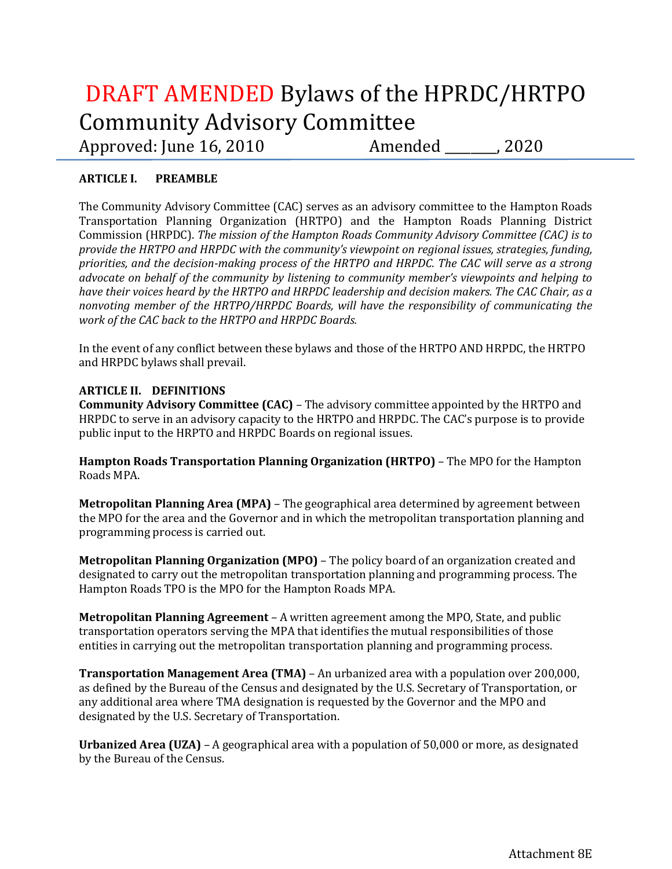# DRAFT AMENDED Bylaws of the HPRDC/HRTPO Community Advisory Committee Approved: June 16, 2010 Amended \_\_\_\_\_\_, 2020

## **ARTICLE I. PREAMBLE**

The Community Advisory Committee (CAC) serves as an advisory committee to the Hampton Roads Transportation Planning Organization (HRTPO) and the Hampton Roads Planning District Commission (HRPDC). *The mission of the Hampton Roads Community Advisory Committee (CAC) is to provide the HRTPO and HRPDC with the community's viewpoint on regional issues, strategies, funding, priorities, and the decision-making process of the HRTPO and HRPDC. The CAC will serve as a strong advocate on behalf of the community by listening to community member's viewpoints and helping to have their voices heard by the HRTPO and HRPDC leadership and decision makers. The CAC Chair, as a nonvoting member of the HRTPO/HRPDC Boards, will have the responsibility of communicating the work of the CAC back to the HRTPO and HRPDC Boards.*

In the event of any conflict between these bylaws and those of the HRTPO AND HRPDC, the HRTPO and HRPDC bylaws shall prevail.

## **ARTICLE II. DEFINITIONS**

**Community Advisory Committee (CAC)** – The advisory committee appointed by the HRTPO and HRPDC to serve in an advisory capacity to the HRTPO and HRPDC. The CAC's purpose is to provide public input to the HRPTO and HRPDC Boards on regional issues.

**Hampton Roads Transportation Planning Organization (HRTPO)** – The MPO for the Hampton Roads MPA.

**Metropolitan Planning Area (MPA)** – The geographical area determined by agreement between the MPO for the area and the Governor and in which the metropolitan transportation planning and programming process is carried out.

**Metropolitan Planning Organization (MPO)** – The policy board of an organization created and designated to carry out the metropolitan transportation planning and programming process. The Hampton Roads TPO is the MPO for the Hampton Roads MPA.

**Metropolitan Planning Agreement** – A written agreement among the MPO, State, and public transportation operators serving the MPA that identifies the mutual responsibilities of those entities in carrying out the metropolitan transportation planning and programming process.

**Transportation Management Area (TMA)** – An urbanized area with a population over 200,000, as defined by the Bureau of the Census and designated by the U.S. Secretary of Transportation, or any additional area where TMA designation is requested by the Governor and the MPO and designated by the U.S. Secretary of Transportation.

**Urbanized Area (UZA)** – A geographical area with a population of 50,000 or more, as designated by the Bureau of the Census.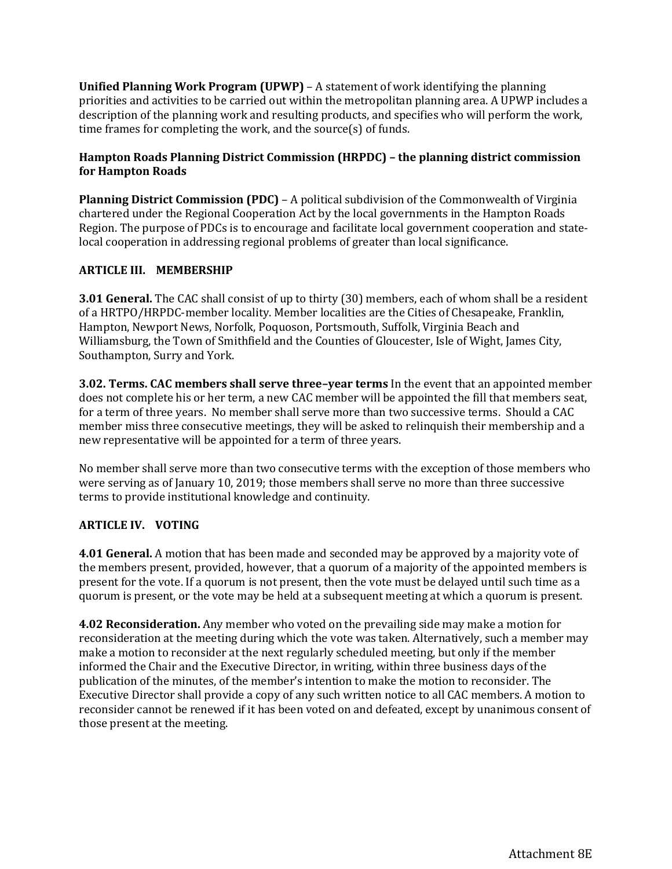**Unified Planning Work Program (UPWP)** – A statement of work identifying the planning priorities and activities to be carried out within the metropolitan planning area. A UPWP includes a description of the planning work and resulting products, and specifies who will perform the work, time frames for completing the work, and the source(s) of funds.

### **Hampton Roads Planning District Commission (HRPDC) – the planning district commission for Hampton Roads**

**Planning District Commission (PDC)** – A political subdivision of the Commonwealth of Virginia chartered under the Regional Cooperation Act by the local governments in the Hampton Roads Region. The purpose of PDCs is to encourage and facilitate local government cooperation and statelocal cooperation in addressing regional problems of greater than local significance.

### **ARTICLE III. MEMBERSHIP**

**3.01 General.** The CAC shall consist of up to thirty (30) members, each of whom shall be a resident of a HRTPO/HRPDC-member locality. Member localities are the Cities of Chesapeake, Franklin, Hampton, Newport News, Norfolk, Poquoson, Portsmouth, Suffolk, Virginia Beach and Williamsburg, the Town of Smithfield and the Counties of Gloucester, Isle of Wight, James City, Southampton, Surry and York.

**3.02. Terms. CAC members shall serve three–year terms** In the event that an appointed member does not complete his or her term, a new CAC member will be appointed the fill that members seat, for a term of three years. No member shall serve more than two successive terms. Should a CAC member miss three consecutive meetings, they will be asked to relinquish their membership and a new representative will be appointed for a term of three years.

No member shall serve more than two consecutive terms with the exception of those members who were serving as of January 10, 2019; those members shall serve no more than three successive terms to provide institutional knowledge and continuity.

## **ARTICLE IV. VOTING**

**4.01 General.** A motion that has been made and seconded may be approved by a majority vote of the members present, provided, however, that a quorum of a majority of the appointed members is present for the vote. If a quorum is not present, then the vote must be delayed until such time as a quorum is present, or the vote may be held at a subsequent meeting at which a quorum is present.

**4.02 Reconsideration.** Any member who voted on the prevailing side may make a motion for reconsideration at the meeting during which the vote was taken. Alternatively, such a member may make a motion to reconsider at the next regularly scheduled meeting, but only if the member informed the Chair and the Executive Director, in writing, within three business days of the publication of the minutes, of the member's intention to make the motion to reconsider. The Executive Director shall provide a copy of any such written notice to all CAC members. A motion to reconsider cannot be renewed if it has been voted on and defeated, except by unanimous consent of those present at the meeting.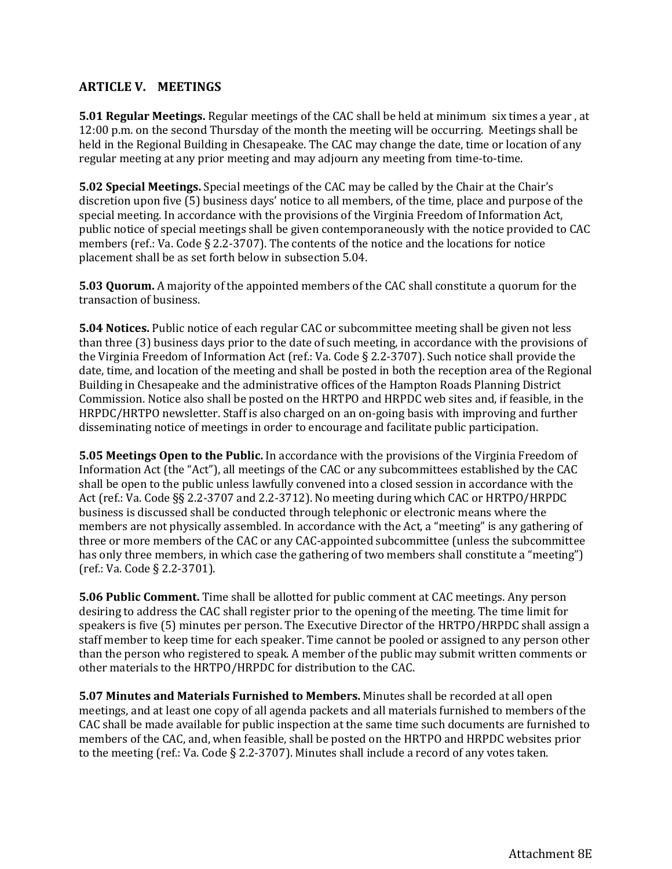## **ARTICLE V. MEETINGS**

**5.01 Regular Meetings.** Regular meetings of the CAC shall be held at minimum six times a year , at 12:00 p.m. on the second Thursday of the month the meeting will be occurring. Meetings shall be held in the Regional Building in Chesapeake. The CAC may change the date, time or location of any regular meeting at any prior meeting and may adjourn any meeting from time-to-time.

**5.02 Special Meetings.** Special meetings of the CAC may be called by the Chair at the Chair's discretion upon five (5) business days' notice to all members, of the time, place and purpose of the special meeting. In accordance with the provisions of the Virginia Freedom of Information Act, public notice of special meetings shall be given contemporaneously with the notice provided to CAC members (ref.: Va. Code § 2.2-3707). The contents of the notice and the locations for notice placement shall be as set forth below in subsection 5.04.

**5.03 Quorum.** A majority of the appointed members of the CAC shall constitute a quorum for the transaction of business.

**5.04 Notices.** Public notice of each regular CAC or subcommittee meeting shall be given not less than three (3) business days prior to the date of such meeting, in accordance with the provisions of the Virginia Freedom of Information Act (ref.: Va. Code § 2.2-3707). Such notice shall provide the date, time, and location of the meeting and shall be posted in both the reception area of the Regional Building in Chesapeake and the administrative offices of the Hampton Roads Planning District Commission. Notice also shall be posted on the HRTPO and HRPDC web sites and, if feasible, in the HRPDC/HRTPO newsletter. Staff is also charged on an on-going basis with improving and further disseminating notice of meetings in order to encourage and facilitate public participation.

**5.05 Meetings Open to the Public.** In accordance with the provisions of the Virginia Freedom of Information Act (the "Act"), all meetings of the CAC or any subcommittees established by the CAC shall be open to the public unless lawfully convened into a closed session in accordance with the Act (ref.: Va. Code §§ 2.2-3707 and 2.2-3712). No meeting during which CAC or HRTPO/HRPDC business is discussed shall be conducted through telephonic or electronic means where the members are not physically assembled. In accordance with the Act, a "meeting" is any gathering of three or more members of the CAC or any CAC-appointed subcommittee (unless the subcommittee has only three members, in which case the gathering of two members shall constitute a "meeting") (ref.: Va. Code § 2.2-3701).

**5.06 Public Comment.** Time shall be allotted for public comment at CAC meetings. Any person desiring to address the CAC shall register prior to the opening of the meeting. The time limit for speakers is five (5) minutes per person. The Executive Director of the HRTPO/HRPDC shall assign a staff member to keep time for each speaker. Time cannot be pooled or assigned to any person other than the person who registered to speak. A member of the public may submit written comments or other materials to the HRTPO/HRPDC for distribution to the CAC.

**5.07 Minutes and Materials Furnished to Members.** Minutes shall be recorded at all open meetings, and at least one copy of all agenda packets and all materials furnished to members of the CAC shall be made available for public inspection at the same time such documents are furnished to members of the CAC, and, when feasible, shall be posted on the HRTPO and HRPDC websites prior to the meeting (ref.: Va. Code § 2.2-3707). Minutes shall include a record of any votes taken.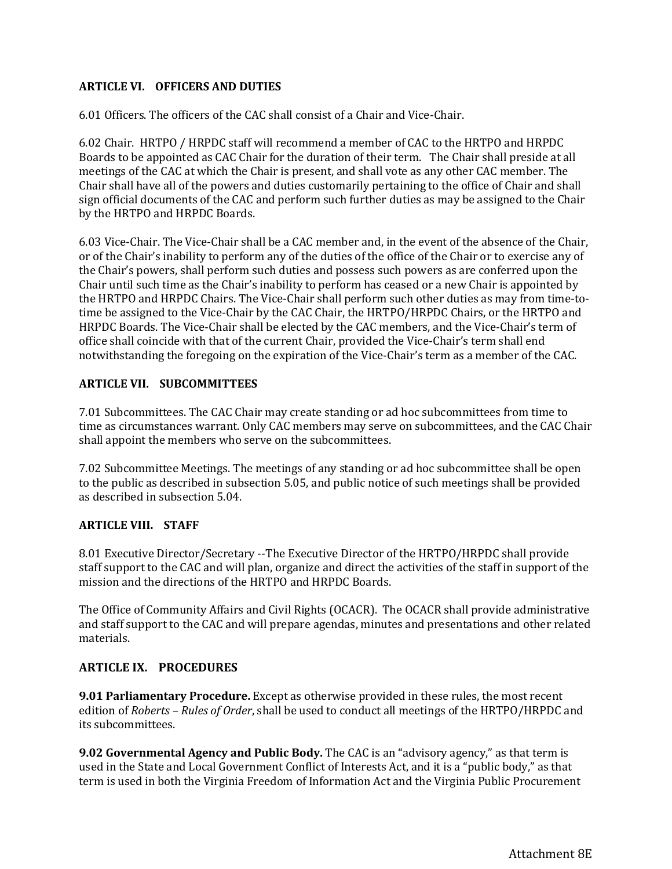#### **ARTICLE VI. OFFICERS AND DUTIES**

6.01 Officers. The officers of the CAC shall consist of a Chair and Vice-Chair.

6.02 Chair. HRTPO / HRPDC staff will recommend a member of CAC to the HRTPO and HRPDC Boards to be appointed as CAC Chair for the duration of their term. The Chair shall preside at all meetings of the CAC at which the Chair is present, and shall vote as any other CAC member. The Chair shall have all of the powers and duties customarily pertaining to the office of Chair and shall sign official documents of the CAC and perform such further duties as may be assigned to the Chair by the HRTPO and HRPDC Boards.

6.03 Vice-Chair. The Vice-Chair shall be a CAC member and, in the event of the absence of the Chair, or of the Chair's inability to perform any of the duties of the office of the Chair or to exercise any of the Chair's powers, shall perform such duties and possess such powers as are conferred upon the Chair until such time as the Chair's inability to perform has ceased or a new Chair is appointed by the HRTPO and HRPDC Chairs. The Vice-Chair shall perform such other duties as may from time-totime be assigned to the Vice-Chair by the CAC Chair, the HRTPO/HRPDC Chairs, or the HRTPO and HRPDC Boards. The Vice-Chair shall be elected by the CAC members, and the Vice-Chair's term of office shall coincide with that of the current Chair, provided the Vice-Chair's term shall end notwithstanding the foregoing on the expiration of the Vice-Chair's term as a member of the CAC.

#### **ARTICLE VII. SUBCOMMITTEES**

7.01 Subcommittees. The CAC Chair may create standing or ad hoc subcommittees from time to time as circumstances warrant. Only CAC members may serve on subcommittees, and the CAC Chair shall appoint the members who serve on the subcommittees.

7.02 Subcommittee Meetings. The meetings of any standing or ad hoc subcommittee shall be open to the public as described in subsection 5.05, and public notice of such meetings shall be provided as described in subsection 5.04.

#### **ARTICLE VIII. STAFF**

8.01 Executive Director/Secretary --The Executive Director of the HRTPO/HRPDC shall provide staff support to the CAC and will plan, organize and direct the activities of the staff in support of the mission and the directions of the HRTPO and HRPDC Boards.

The Office of Community Affairs and Civil Rights (OCACR). The OCACR shall provide administrative and staff support to the CAC and will prepare agendas, minutes and presentations and other related materials.

### **ARTICLE IX. PROCEDURES**

**9.01 Parliamentary Procedure.** Except as otherwise provided in these rules, the most recent edition of *Roberts – Rules of Order*, shall be used to conduct all meetings of the HRTPO/HRPDC and its subcommittees.

**9.02 Governmental Agency and Public Body.** The CAC is an "advisory agency," as that term is used in the State and Local Government Conflict of Interests Act, and it is a "public body," as that term is used in both the Virginia Freedom of Information Act and the Virginia Public Procurement